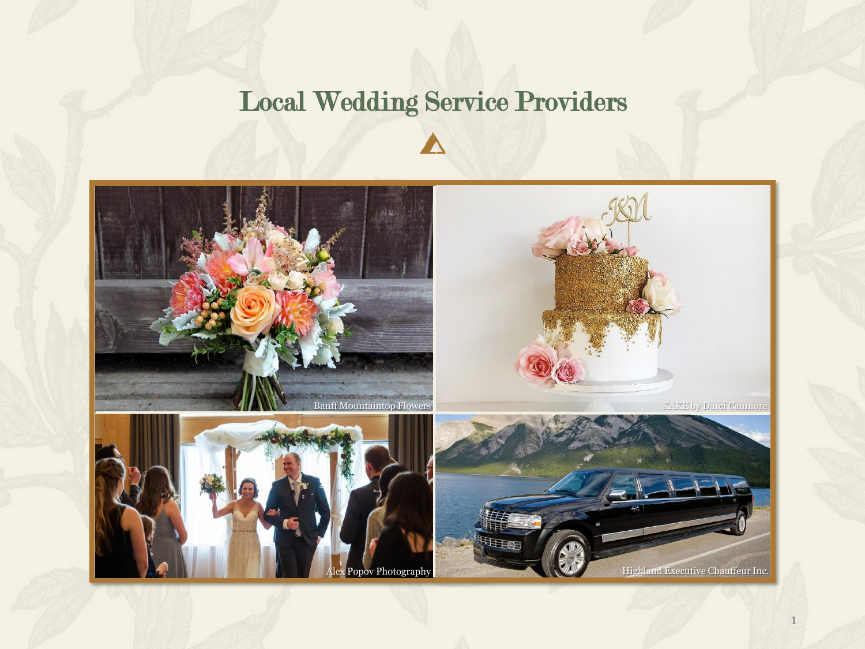# Local Wedding Service Providers

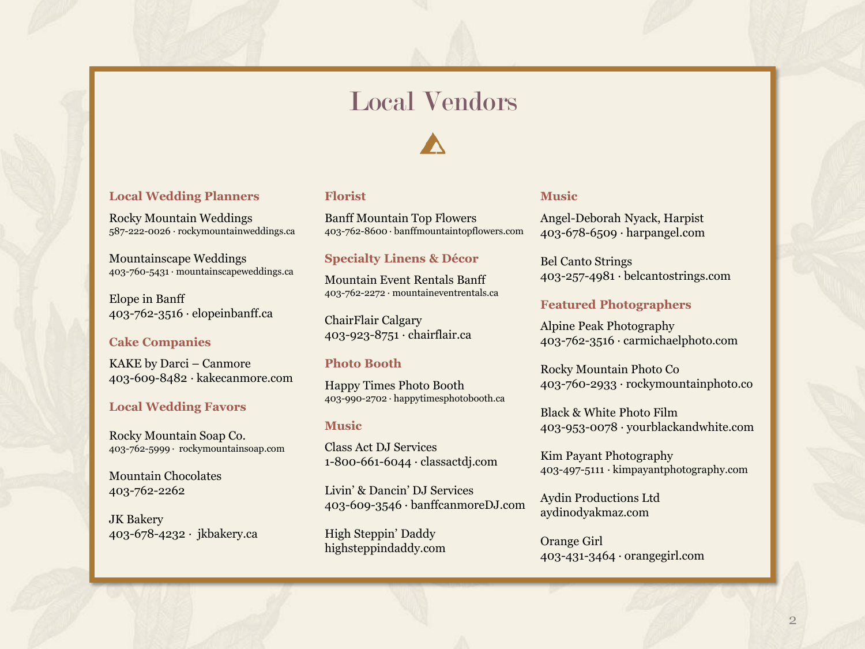## Local Vendors

#### **Local Wedding Planners**

Rocky Mountain Weddings 587-222-0026 · rockymountainweddings.ca

Mountainscape Weddings 403-760-5431 · mountainscapeweddings.ca

Elope in Banff 403-762-3516 · elopeinbanff.ca

#### **Cake Companies**

KAKE by Darci – Canmore 403-609-8482 · kakecanmore.com

#### **Local Wedding Favors**

Rocky Mountain Soap Co. 403-762-5999 · rockymountainsoap.com

Mountain Chocolates 403-762-2262

JK Bakery 403-678-4232 · jkbakery.ca

#### **Florist**

Banff Mountain Top Flowers 403-762-8600 · banffmountaintopflowers.com

#### **Specialty Linens & Décor**

Mountain Event Rentals Banff 403-762-2272 · mountaineventrentals.ca

ChairFlair Calgary 403-923-8751 · chairflair.ca

#### **Photo Booth**

Happy Times Photo Booth 403-990-2702 · happytimesphotobooth.ca

#### **Music**

Class Act DJ Services 1-800-661-6044 · classactdj.com

Livin' & Dancin' DJ Services 403-609-3546 · banffcanmoreDJ.com

High Steppin' Daddy highsteppindaddy.com

#### **Music**

Angel-Deborah Nyack, Harpist 403-678-6509 · harpangel.com

Bel Canto Strings 403-257-4981 · belcantostrings.com

#### **Featured Photographers**

Alpine Peak Photography 403-762-3516 · carmichaelphoto.com

Rocky Mountain Photo Co 403-760-2933 · rockymountainphoto.co

Black & White Photo Film 403-953-0078 · yourblackandwhite.com

Kim Payant Photography 403-497-5111 · kimpayantphotography.com

Aydin Productions Ltd aydinodyakmaz.com

Orange Girl 403-431-3464 · orangegirl.com

2